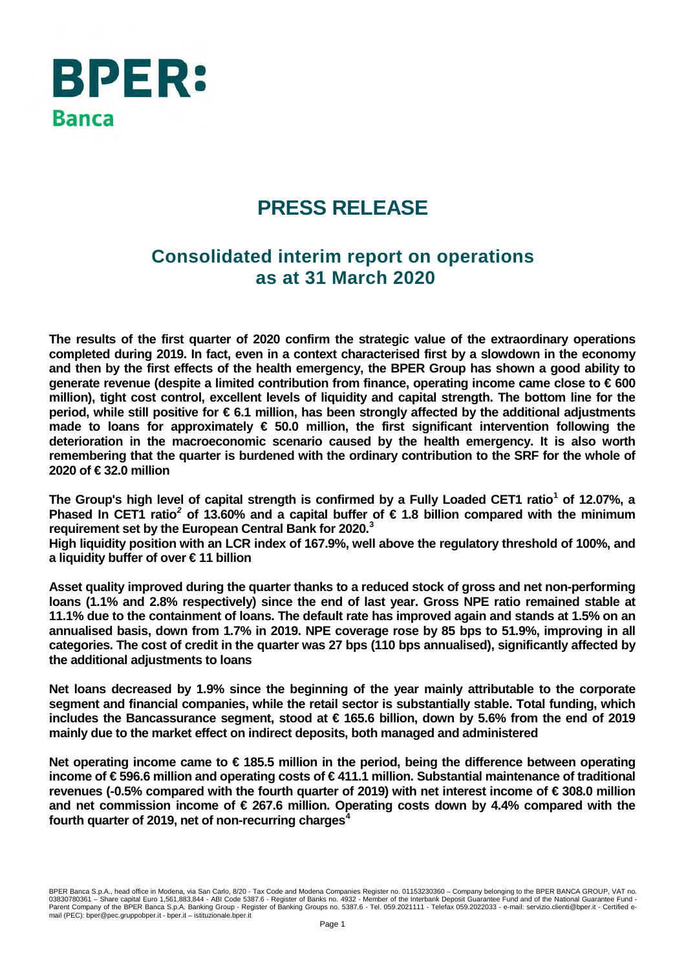

# **PRESS RELEASE**

## **Consolidated interim report on operations as at 31 March 2020**

**The results of the first quarter of 2020 confirm the strategic value of the extraordinary operations completed during 2019. In fact, even in a context characterised first by a slowdown in the economy and then by the first effects of the health emergency, the BPER Group has shown a good ability to generate revenue (despite a limited contribution from finance, operating income came close to € 600 million), tight cost control, excellent levels of liquidity and capital strength. The bottom line for the period, while still positive for € 6.1 million, has been strongly affected by the additional adjustments made to loans for approximately € 50.0 million, the first significant intervention following the deterioration in the macroeconomic scenario caused by the health emergency. It is also worth remembering that the quarter is burdened with the ordinary contribution to the SRF for the whole of 2020 of € 32.0 million**

**The Group's high level of capital strength is confirmed by a Fully Loaded CET1 ratio[1](#page-6-0) of 12.07%, a Phased In CET1 ratio***[2](#page-6-1)* **of 13.60% and a capital buffer of € 1.8 billion compared with the minimum requirement set by the European Central Bank for 2020.[3](#page-6-2)**

**High liquidity position with an LCR index of 167.9%, well above the regulatory threshold of 100%, and a liquidity buffer of over € 11 billion**

**Asset quality improved during the quarter thanks to a reduced stock of gross and net non-performing loans (1.1% and 2.8% respectively) since the end of last year. Gross NPE ratio remained stable at 11.1% due to the containment of loans. The default rate has improved again and stands at 1.5% on an annualised basis, down from 1.7% in 2019. NPE coverage rose by 85 bps to 51.9%, improving in all categories. The cost of credit in the quarter was 27 bps (110 bps annualised), significantly affected by the additional adjustments to loans**

**Net loans decreased by 1.9% since the beginning of the year mainly attributable to the corporate segment and financial companies, while the retail sector is substantially stable. Total funding, which includes the Bancassurance segment, stood at € 165.6 billion, down by 5.6% from the end of 2019 mainly due to the market effect on indirect deposits, both managed and administered**

**Net operating income came to € 185.5 million in the period, being the difference between operating income of € 596.6 million and operating costs of € 411.1 million. Substantial maintenance of traditional revenues (-0.5% compared with the fourth quarter of 2019) with net interest income of € 308.0 million and net commission income of € 267.6 million. Operating costs down by 4.4% compared with the fourth quarter of 2019, net of non-recurring charges[4](#page-6-3)**

BPER Banca S.p.A., head office in Modena, via San Carlo, 8/20 - Tax Code and Modena Companies Register no. 01153230360 – Company belonging to the BPER BANCA GROUP, VAT no.<br>03830780361 – Share capital Euro 1,561,883,844 -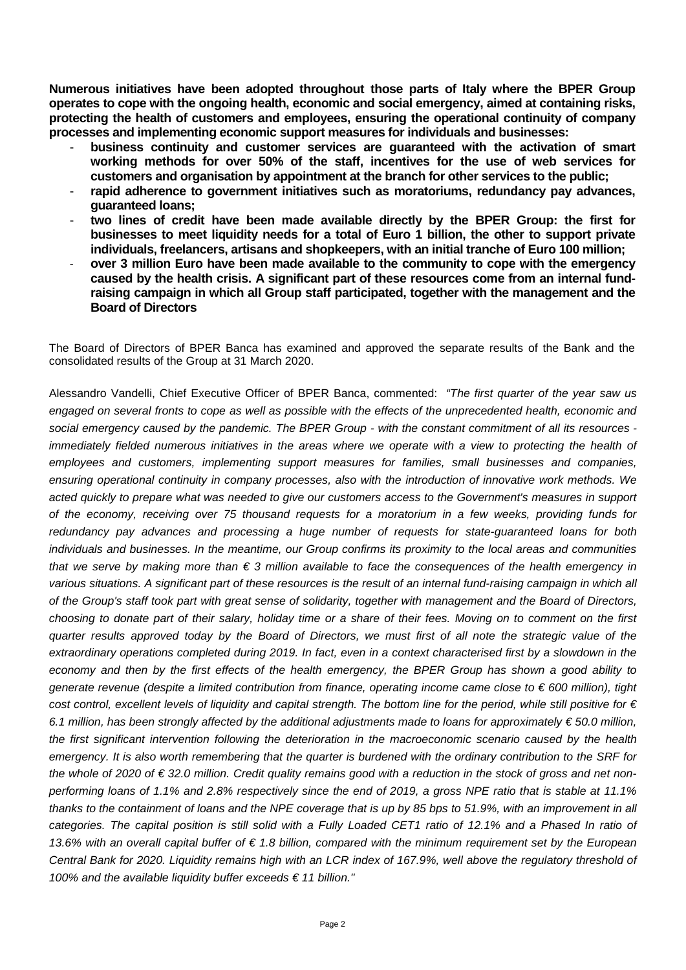**Numerous initiatives have been adopted throughout those parts of Italy where the BPER Group operates to cope with the ongoing health, economic and social emergency, aimed at containing risks, protecting the health of customers and employees, ensuring the operational continuity of company processes and implementing economic support measures for individuals and businesses:**

- **business continuity and customer services are guaranteed with the activation of smart working methods for over 50% of the staff, incentives for the use of web services for customers and organisation by appointment at the branch for other services to the public;**
- **rapid adherence to government initiatives such as moratoriums, redundancy pay advances, guaranteed loans;**
- **two lines of credit have been made available directly by the BPER Group: the first for businesses to meet liquidity needs for a total of Euro 1 billion, the other to support private individuals, freelancers, artisans and shopkeepers, with an initial tranche of Euro 100 million;**
- **over 3 million Euro have been made available to the community to cope with the emergency caused by the health crisis. A significant part of these resources come from an internal fundraising campaign in which all Group staff participated, together with the management and the Board of Directors**

The Board of Directors of BPER Banca has examined and approved the separate results of the Bank and the consolidated results of the Group at 31 March 2020.

Alessandro Vandelli, Chief Executive Officer of BPER Banca, commented: *"The first quarter of the year saw us engaged on several fronts to cope as well as possible with the effects of the unprecedented health, economic and social emergency caused by the pandemic. The BPER Group - with the constant commitment of all its resources*  immediately fielded numerous initiatives in the areas where we operate with a view to protecting the health of *employees and customers, implementing support measures for families, small businesses and companies, ensuring operational continuity in company processes, also with the introduction of innovative work methods. We acted quickly to prepare what was needed to give our customers access to the Government's measures in support of the economy, receiving over 75 thousand requests for a moratorium in a few weeks, providing funds for redundancy pay advances and processing a huge number of requests for state-guaranteed loans for both individuals and businesses. In the meantime, our Group confirms its proximity to the local areas and communities that we serve by making more than € 3 million available to face the consequences of the health emergency in various situations. A significant part of these resources is the result of an internal fund-raising campaign in which all of the Group's staff took part with great sense of solidarity, together with management and the Board of Directors, choosing to donate part of their salary, holiday time or a share of their fees. Moving on to comment on the first quarter results approved today by the Board of Directors, we must first of all note the strategic value of the extraordinary operations completed during 2019. In fact, even in a context characterised first by a slowdown in the economy and then by the first effects of the health emergency, the BPER Group has shown a good ability to generate revenue (despite a limited contribution from finance, operating income came close to € 600 million), tight cost control, excellent levels of liquidity and capital strength. The bottom line for the period, while still positive for € 6.1 million, has been strongly affected by the additional adjustments made to loans for approximately € 50.0 million, the first significant intervention following the deterioration in the macroeconomic scenario caused by the health emergency. It is also worth remembering that the quarter is burdened with the ordinary contribution to the SRF for the whole of 2020 of € 32.0 million. Credit quality remains good with a reduction in the stock of gross and net nonperforming loans of 1.1% and 2.8% respectively since the end of 2019, a gross NPE ratio that is stable at 11.1% thanks to the containment of loans and the NPE coverage that is up by 85 bps to 51.9%, with an improvement in all categories. The capital position is still solid with a Fully Loaded CET1 ratio of 12.1% and a Phased In ratio of 13.6% with an overall capital buffer of € 1.8 billion, compared with the minimum requirement set by the European Central Bank for 2020. Liquidity remains high with an LCR index of 167.9%, well above the regulatory threshold of 100% and the available liquidity buffer exceeds € 11 billion."*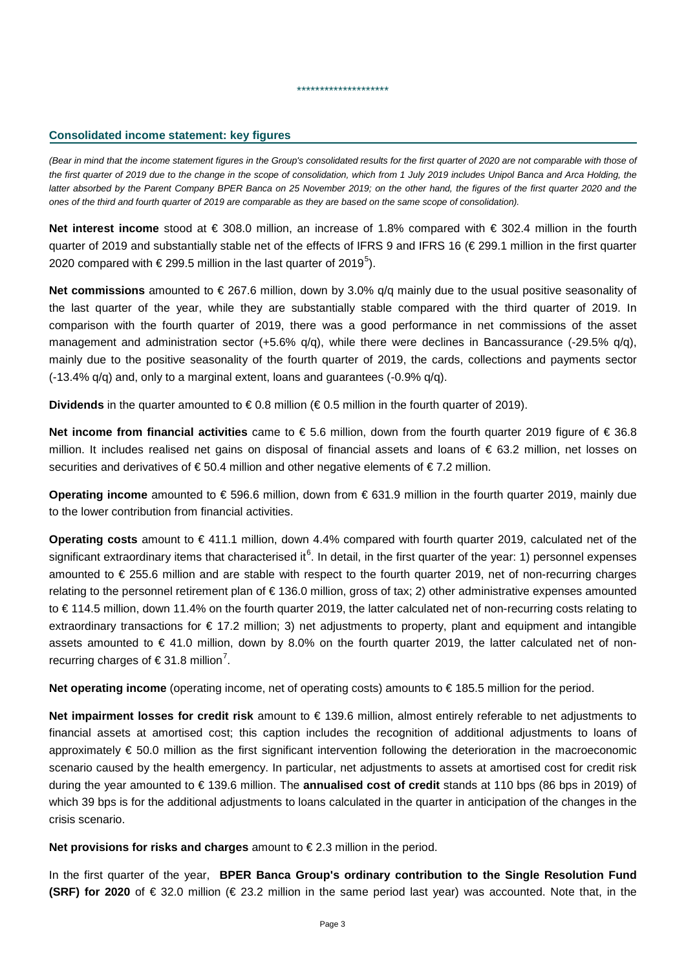#### **Consolidated income statement: key figures**

*(Bear in mind that the income statement figures in the Group's consolidated results for the first quarter of 2020 are not comparable with those of the first quarter of 2019 due to the change in the scope of consolidation, which from 1 July 2019 includes Unipol Banca and Arca Holding, the latter absorbed by the Parent Company BPER Banca on 25 November 2019; on the other hand, the figures of the first quarter 2020 and the ones of the third and fourth quarter of 2019 are comparable as they are based on the same scope of consolidation).*

\*\*\*\*\*\*\*\*\*\*\*\*\*\*\*\*\*\*\*\*

**Net interest income** stood at € 308.0 million, an increase of 1.8% compared with € 302.4 million in the fourth quarter of 2019 and substantially stable net of the effects of IFRS 9 and IFRS 16 (€ 299.1 million in the first quarter 2020 compared with € 299.[5](#page-6-4) million in the last quarter of 2019<sup>5</sup>).

**Net commissions** amounted to € 267.6 million, down by 3.0% q/q mainly due to the usual positive seasonality of the last quarter of the year, while they are substantially stable compared with the third quarter of 2019. In comparison with the fourth quarter of 2019, there was a good performance in net commissions of the asset management and administration sector (+5.6% q/q), while there were declines in Bancassurance (-29.5% q/q), mainly due to the positive seasonality of the fourth quarter of 2019, the cards, collections and payments sector (-13.4% q/q) and, only to a marginal extent, loans and guarantees (-0.9% q/q).

**Dividends** in the quarter amounted to € 0.8 million (€ 0.5 million in the fourth quarter of 2019).

**Net income from financial activities** came to € 5.6 million, down from the fourth quarter 2019 figure of € 36.8 million. It includes realised net gains on disposal of financial assets and loans of € 63.2 million, net losses on securities and derivatives of €50.4 million and other negative elements of €7.2 million.

**Operating income** amounted to € 596.6 million, down from € 631.9 million in the fourth quarter 2019, mainly due to the lower contribution from financial activities.

**Operating costs** amount to € 411.1 million, down 4.4% compared with fourth quarter 2019, calculated net of the significant extraordinary items that characterised it<sup>[6](#page-6-5)</sup>. In detail, in the first quarter of the year: 1) personnel expenses amounted to € 255.6 million and are stable with respect to the fourth quarter 2019, net of non-recurring charges relating to the personnel retirement plan of € 136.0 million, gross of tax; 2) other administrative expenses amounted to € 114.5 million, down 11.4% on the fourth quarter 2019, the latter calculated net of non-recurring costs relating to extraordinary transactions for  $\epsilon$  17.2 million; 3) net adjustments to property, plant and equipment and intangible assets amounted to € 41.0 million, down by 8.0% on the fourth quarter 2019, the latter calculated net of nonrecurring charges of  $\in$  31.8 million<sup>[7](#page-6-6)</sup>.

**Net operating income** (operating income, net of operating costs) amounts to €185.5 million for the period.

**Net impairment losses for credit risk** amount to € 139.6 million, almost entirely referable to net adjustments to financial assets at amortised cost; this caption includes the recognition of additional adjustments to loans of approximately € 50.0 million as the first significant intervention following the deterioration in the macroeconomic scenario caused by the health emergency. In particular, net adjustments to assets at amortised cost for credit risk during the year amounted to € 139.6 million. The **annualised cost of credit** stands at 110 bps (86 bps in 2019) of which 39 bps is for the additional adjustments to loans calculated in the quarter in anticipation of the changes in the crisis scenario.

**Net provisions for risks and charges** amount to € 2.3 million in the period.

In the first quarter of the year, **BPER Banca Group's ordinary contribution to the Single Resolution Fund (SRF) for 2020** of € 32.0 million (€ 23.2 million in the same period last year) was accounted. Note that, in the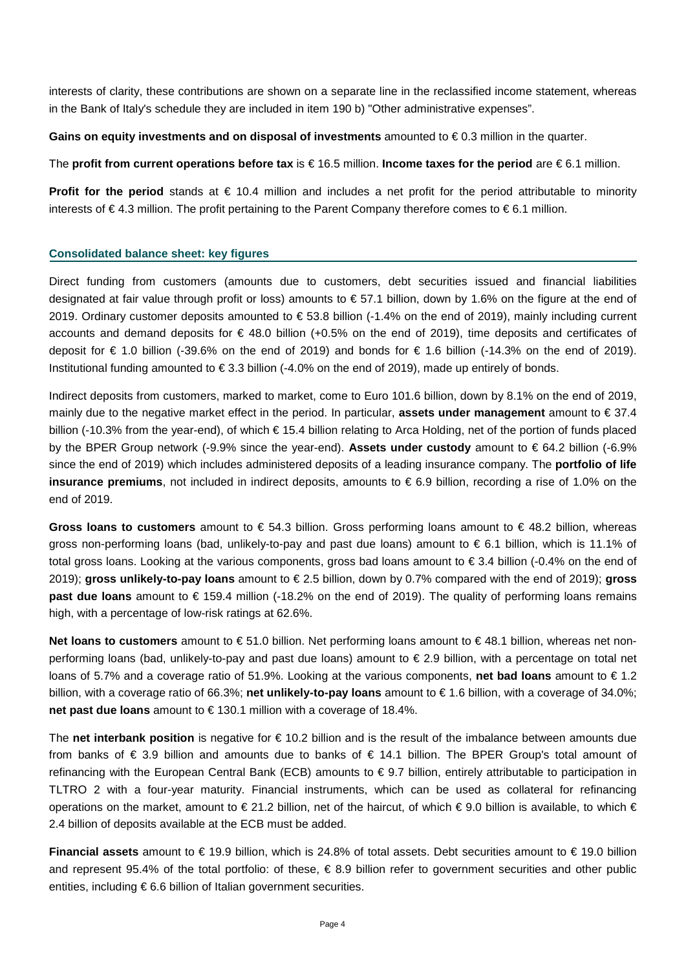interests of clarity, these contributions are shown on a separate line in the reclassified income statement, whereas in the Bank of Italy's schedule they are included in item 190 b) "Other administrative expenses".

**Gains on equity investments and on disposal of investments** amounted to € 0.3 million in the quarter.

The **profit from current operations before tax** is € 16.5 million. **Income taxes for the period** are € 6.1 million.

**Profit for the period** stands at € 10.4 million and includes a net profit for the period attributable to minority interests of € 4.3 million. The profit pertaining to the Parent Company therefore comes to € 6.1 million.

#### **Consolidated balance sheet: key figures**

Direct funding from customers (amounts due to customers, debt securities issued and financial liabilities designated at fair value through profit or loss) amounts to € 57.1 billion, down by 1.6% on the figure at the end of 2019. Ordinary customer deposits amounted to € 53.8 billion (-1.4% on the end of 2019), mainly including current accounts and demand deposits for € 48.0 billion (+0.5% on the end of 2019), time deposits and certificates of deposit for € 1.0 billion (-39.6% on the end of 2019) and bonds for € 1.6 billion (-14.3% on the end of 2019). Institutional funding amounted to € 3.3 billion (-4.0% on the end of 2019), made up entirely of bonds.

Indirect deposits from customers, marked to market, come to Euro 101.6 billion, down by 8.1% on the end of 2019, mainly due to the negative market effect in the period. In particular, **assets under management** amount to € 37.4 billion (-10.3% from the year-end), of which € 15.4 billion relating to Arca Holding, net of the portion of funds placed by the BPER Group network (-9.9% since the year-end). **Assets under custody** amount to € 64.2 billion (-6.9% since the end of 2019) which includes administered deposits of a leading insurance company. The **portfolio of life insurance premiums**, not included in indirect deposits, amounts to € 6.9 billion, recording a rise of 1.0% on the end of 2019.

**Gross loans to customers** amount to € 54.3 billion. Gross performing loans amount to € 48.2 billion, whereas gross non-performing loans (bad, unlikely-to-pay and past due loans) amount to € 6.1 billion, which is 11.1% of total gross loans. Looking at the various components, gross bad loans amount to € 3.4 billion (-0.4% on the end of 2019); **gross unlikely-to-pay loans** amount to € 2.5 billion, down by 0.7% compared with the end of 2019); **gross past due loans** amount to € 159.4 million (-18.2% on the end of 2019). The quality of performing loans remains high, with a percentage of low-risk ratings at 62.6%.

**Net loans to customers** amount to € 51.0 billion. Net performing loans amount to € 48.1 billion, whereas net nonperforming loans (bad, unlikely-to-pay and past due loans) amount to € 2.9 billion, with a percentage on total net loans of 5.7% and a coverage ratio of 51.9%. Looking at the various components, **net bad loans** amount to € 1.2 billion, with a coverage ratio of 66.3%; **net unlikely-to-pay loans** amount to € 1.6 billion, with a coverage of 34.0%; **net past due loans** amount to € 130.1 million with a coverage of 18.4%.

The **net interbank position** is negative for € 10.2 billion and is the result of the imbalance between amounts due from banks of € 3.9 billion and amounts due to banks of € 14.1 billion. The BPER Group's total amount of refinancing with the European Central Bank (ECB) amounts to € 9.7 billion, entirely attributable to participation in TLTRO 2 with a four-year maturity. Financial instruments, which can be used as collateral for refinancing operations on the market, amount to  $\in$  21.2 billion, net of the haircut, of which  $\in$  9.0 billion is available, to which  $\in$ 2.4 billion of deposits available at the ECB must be added.

**Financial assets** amount to € 19.9 billion, which is 24.8% of total assets. Debt securities amount to € 19.0 billion and represent 95.4% of the total portfolio: of these, € 8.9 billion refer to government securities and other public entities, including € 6.6 billion of Italian government securities.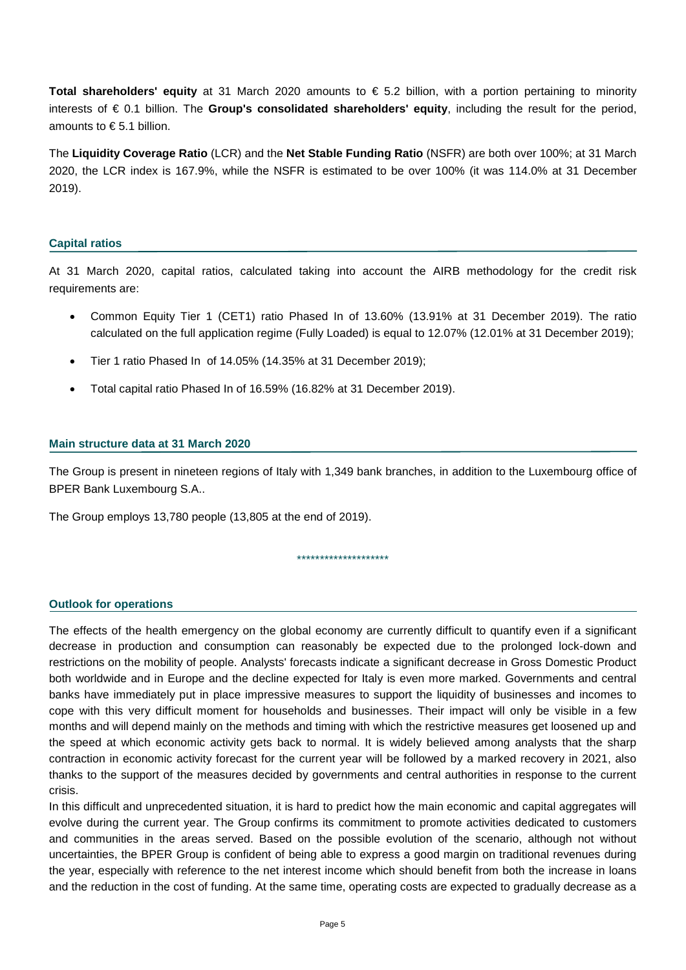**Total shareholders' equity** at 31 March 2020 amounts to € 5.2 billion, with a portion pertaining to minority interests of € 0.1 billion. The **Group's consolidated shareholders' equity**, including the result for the period, amounts to € 5.1 billion.

The **Liquidity Coverage Ratio** (LCR) and the **Net Stable Funding Ratio** (NSFR) are both over 100%; at 31 March 2020, the LCR index is 167.9%, while the NSFR is estimated to be over 100% (it was 114.0% at 31 December 2019).

#### **Capital ratios**

At 31 March 2020, capital ratios, calculated taking into account the AIRB methodology for the credit risk requirements are:

- Common Equity Tier 1 (CET1) ratio Phased In of 13.60% (13.91% at 31 December 2019). The ratio calculated on the full application regime (Fully Loaded) is equal to 12.07% (12.01% at 31 December 2019);
- Tier 1 ratio Phased In of 14.05% (14.35% at 31 December 2019);
- Total capital ratio Phased In of 16.59% (16.82% at 31 December 2019).

#### **Main structure data at 31 March 2020**

The Group is present in nineteen regions of Italy with 1,349 bank branches, in addition to the Luxembourg office of BPER Bank Luxembourg S.A..

\*\*\*\*\*\*\*\*\*\*\*\*\*\*\*\*\*\*\*\*

The Group employs 13,780 people (13,805 at the end of 2019).

#### **Outlook for operations**

The effects of the health emergency on the global economy are currently difficult to quantify even if a significant decrease in production and consumption can reasonably be expected due to the prolonged lock-down and restrictions on the mobility of people. Analysts' forecasts indicate a significant decrease in Gross Domestic Product both worldwide and in Europe and the decline expected for Italy is even more marked. Governments and central banks have immediately put in place impressive measures to support the liquidity of businesses and incomes to cope with this very difficult moment for households and businesses. Their impact will only be visible in a few months and will depend mainly on the methods and timing with which the restrictive measures get loosened up and the speed at which economic activity gets back to normal. It is widely believed among analysts that the sharp contraction in economic activity forecast for the current year will be followed by a marked recovery in 2021, also thanks to the support of the measures decided by governments and central authorities in response to the current crisis.

In this difficult and unprecedented situation, it is hard to predict how the main economic and capital aggregates will evolve during the current year. The Group confirms its commitment to promote activities dedicated to customers and communities in the areas served. Based on the possible evolution of the scenario, although not without uncertainties, the BPER Group is confident of being able to express a good margin on traditional revenues during the year, especially with reference to the net interest income which should benefit from both the increase in loans and the reduction in the cost of funding. At the same time, operating costs are expected to gradually decrease as a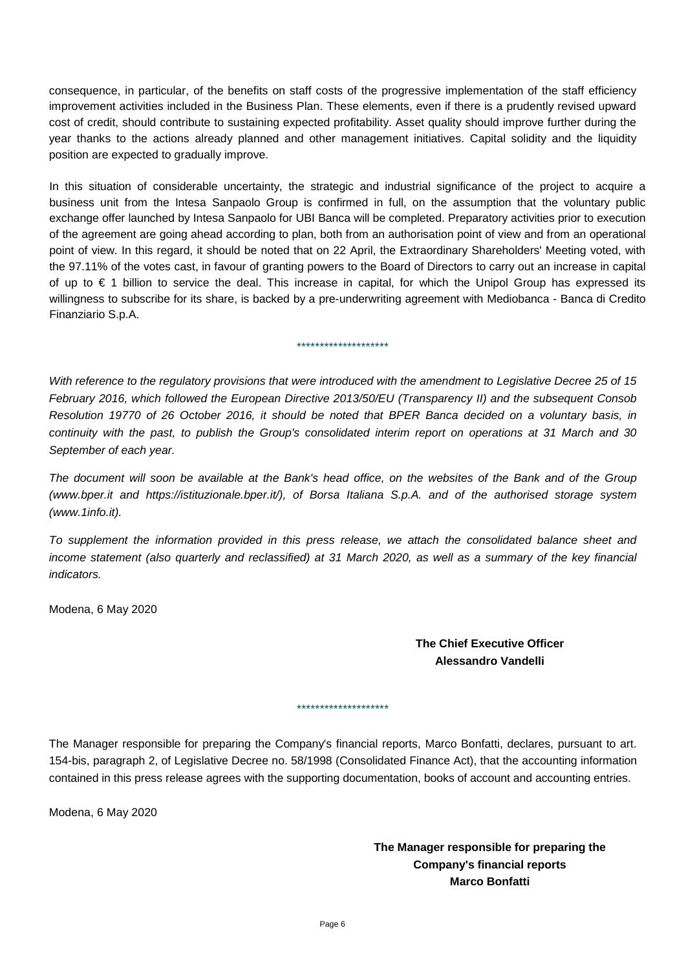consequence, in particular, of the benefits on staff costs of the progressive implementation of the staff efficiency improvement activities included in the Business Plan. These elements, even if there is a prudently revised upward cost of credit, should contribute to sustaining expected profitability. Asset quality should improve further during the year thanks to the actions already planned and other management initiatives. Capital solidity and the liquidity position are expected to gradually improve.

In this situation of considerable uncertainty, the strategic and industrial significance of the project to acquire a business unit from the Intesa Sanpaolo Group is confirmed in full, on the assumption that the voluntary public exchange offer launched by Intesa Sanpaolo for UBI Banca will be completed. Preparatory activities prior to execution of the agreement are going ahead according to plan, both from an authorisation point of view and from an operational point of view. In this regard, it should be noted that on 22 April, the Extraordinary Shareholders' Meeting voted, with the 97.11% of the votes cast, in favour of granting powers to the Board of Directors to carry out an increase in capital of up to € 1 billion to service the deal. This increase in capital, for which the Unipol Group has expressed its willingness to subscribe for its share, is backed by a pre-underwriting agreement with Mediobanca - Banca di Credito Finanziario S.p.A.

*With reference to the regulatory provisions that were introduced with the amendment to Legislative Decree 25 of 15 February 2016, which followed the European Directive 2013/50/EU (Transparency II) and the subsequent Consob Resolution 19770 of 26 October 2016, it should be noted that BPER Banca decided on a voluntary basis, in continuity with the past, to publish the Group's consolidated interim report on operations at 31 March and 30 September of each year.*

\*\*\*\*\*\*\*\*\*\*\*\*\*\*\*\*\*\*\*\*

*The document will soon be available at the Bank's head office, on the websites of the Bank and of the Group (www.bper.it and https://istituzionale.bper.it/), of Borsa Italiana S.p.A. and of the authorised storage system (www.1info.it).*

*To supplement the information provided in this press release, we attach the consolidated balance sheet and income statement (also quarterly and reclassified) at 31 March 2020, as well as a summary of the key financial indicators.*

Modena, 6 May 2020

### **The Chief Executive Officer Alessandro Vandelli**

The Manager responsible for preparing the Company's financial reports, Marco Bonfatti, declares, pursuant to art. 154-bis, paragraph 2, of Legislative Decree no. 58/1998 (Consolidated Finance Act), that the accounting information contained in this press release agrees with the supporting documentation, books of account and accounting entries.

\*\*\*\*\*\*\*\*\*\*\*\*\*\*\*\*\*\*\*\*

Modena, 6 May 2020

### **The Manager responsible for preparing the Company's financial reports Marco Bonfatti**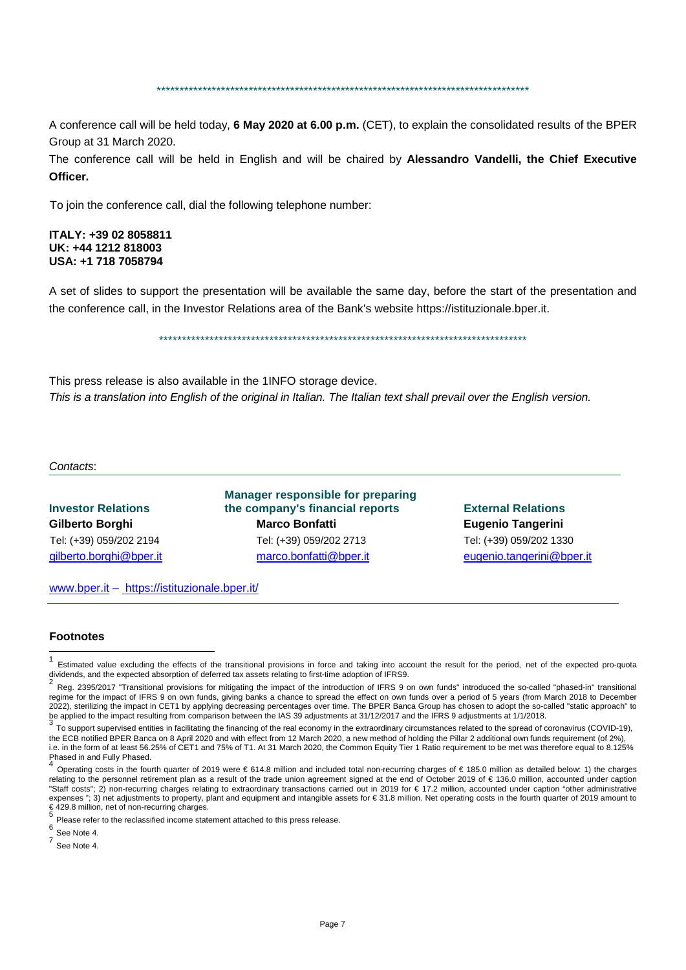### \*\*\*\*\*\*\*\*\*\*\*\*\*\*\*\*\*\*\*\*\*\*\*\*\*\*\*\*\*\*\*\*\*\*\*\*\*\*\*\*\*\*\*\*\*\*\*\*\*\*\*\*\*\*\*\*\*\*\*\*\*\*\*\*\*\*\*\*\*\*\*\*\*\*\*\*\*\*\*\*\*

A conference call will be held today, **6 May 2020 at 6.00 p.m.** (CET), to explain the consolidated results of the BPER Group at 31 March 2020.

The conference call will be held in English and will be chaired by **Alessandro Vandelli, the Chief Executive Officer.**

To join the conference call, dial the following telephone number:

#### **ITALY: +39 02 8058811 UK: +44 1212 818003 USA: +1 718 7058794**

A set of slides to support the presentation will be available the same day, before the start of the presentation and the conference call, in the Investor Relations area of the Bank's website https://istituzionale.bper.it.

\*\*\*\*\*\*\*\*\*\*\*\*\*\*\*\*\*\*\*\*\*\*\*\*\*\*\*\*\*\*\*\*\*\*\*\*\*\*\*\*\*\*\*\*\*\*\*\*\*\*\*\*\*\*\*\*\*\*\*\*\*\*\*\*\*\*\*\*\*\*\*\*\*\*\*\*\*\*\*\*

This press release is also available in the 1INFO storage device. *This is a translation into English of the original in Italian. The Italian text shall prevail over the English version.*

*Contacts*:

| <b>Manager responsible for preparing</b><br>the company's financial reports<br><b>Investor Relations</b> |                         |
|----------------------------------------------------------------------------------------------------------|-------------------------|
| Gilberto Borghi                                                                                          | <b>Marco Bonfatti</b>   |
| Tel: (+39) 059/202 2194                                                                                  | Tel: (+39) 059/202 2713 |
| gilberto.borghi@bper.it                                                                                  | marco.bonfatti@bper.it  |

**External Relations Eugenio Tangerini** Tel: (+39) 059/202 1330 [eugenio.tangerini@bper.it](mailto:eugenio.tangerini@bper.it)

[www.bper.it](http://www.bper.it/) – https://istituzionale.bper.it/

#### **Footnotes**

 $\overline{\phantom{a}}$ 

<span id="page-6-5"></span><span id="page-6-4"></span> $\frac{6}{7}$  See Note 4.<br>See Note 4.

<span id="page-6-0"></span><sup>1</sup> Estimated value excluding the effects of the transitional provisions in force and taking into account the result for the period, net of the expected pro-quota dividends, and the expected absorption of deferred tax assets relating to first-time adoption of IFRS9.

<span id="page-6-1"></span><sup>2</sup> Reg. 2395/2017 "Transitional provisions for mitigating the impact of the introduction of IFRS 9 on own funds" introduced the so-called "phased-in" transitional regime for the impact of IFRS 9 on own funds, giving banks a chance to spread the effect on own funds over a period of 5 years (from March 2018 to December 2022), sterilizing the impact in CET1 by applying decreasing percentages over time. The BPER Banca Group has chosen to adopt the so-called "static approach" to be applied to the impact resulting from comparison between the IAS 39 adjustments at 31/12/2017 and the IFRS 9 adjustments at 1/1/2018.

<span id="page-6-2"></span><sup>3</sup> To support supervised entities in facilitating the financing of the real economy in the extraordinary circumstances related to the spread of coronavirus (COVID-19), the ECB notified BPER Banca on 8 April 2020 and with effect from 12 March 2020, a new method of holding the Pillar 2 additional own funds requirement (of 2%), i.e. in the form of at least 56.25% of CET1 and 75% of T1. At 31 March 2020, the Common Equity Tier 1 Ratio requirement to be met was therefore equal to 8.125% Phased in and Fully Phased.

<span id="page-6-3"></span><sup>4</sup> Operating costs in the fourth quarter of 2019 were € 614.8 million and included total non-recurring charges of € 185.0 million as detailed below: 1) the charges relating to the personnel retirement plan as a result of the trade union agreement signed at the end of October 2019 of € 136.0 million, accounted under caption "Staff costs"; 2) non-recurring charges relating to extraordinary transactions carried out in 2019 for € 17.2 million, accounted under caption "other administrative expenses "; 3) net adjustments to property, plant and equipment and intangible assets for € 31.8 million. Net operating costs in the fourth quarter of 2019 amount to  $€$  429.8 million, net of non-recurring charges.<br>5 Please refer to the reclassified income statement attached to this press release.

<span id="page-6-6"></span>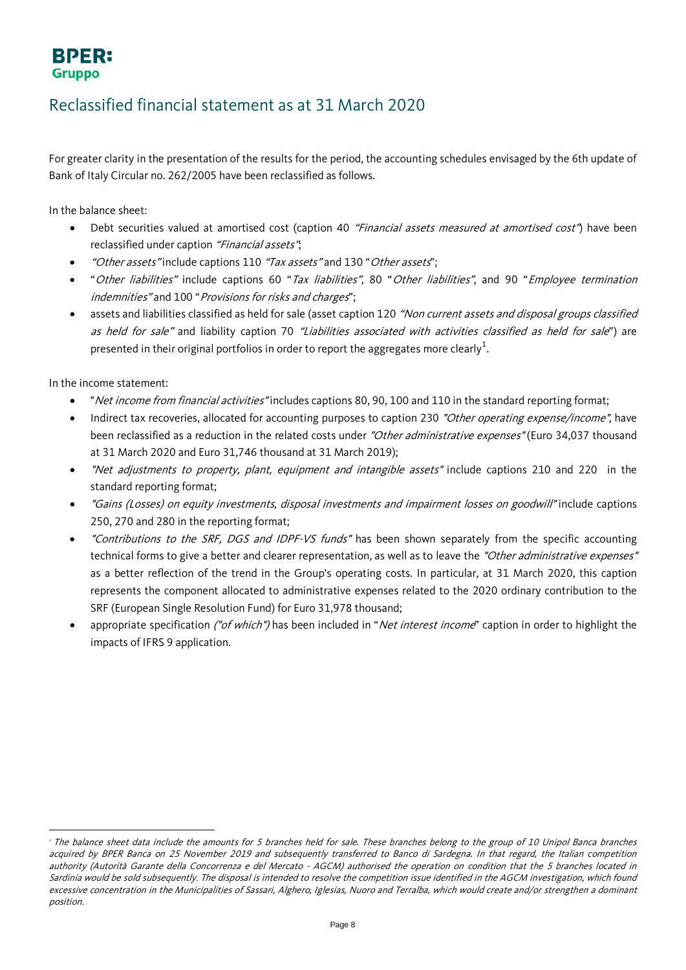### **BPER: Gruppo**

## Reclassified financial statement as at 31 March 2020

For greater clarity in the presentation of the results for the period, the accounting schedules envisaged by the 6th update of Bank of Italy Circular no. 262/2005 have been reclassified as follows.

In the balance sheet:

- Debt securities valued at amortised cost (caption 40 "Financial assets measured at amortised cost") have been reclassified under caption "Financial assets";
- "Other assets" include captions 110 "Tax assets" and 130 "Other assets";
- "Other liabilities" include captions 60 "Tax liabilities", 80 "Other liabilities", and 90 "Employee termination indemnities" and 100 " Provisions for risks and charges";
- assets and liabilities classified as held for sale (asset caption 120 "Non current assets and disposal groups classified as held for sale" and liability caption 70 "Liabilities associated with activities classified as held for sale") are presented in their original portfolios in order to report the aggregates more clearly $^1\!\!$  $^1\!\!$  $^1\!\!$  .

In the income statement:

 $\overline{a}$ 

- "Net income from financial activities" includes captions 80, 90, 100 and 110 in the standard reporting format;
- Indirect tax recoveries, allocated for accounting purposes to caption 230 "Other operating expense/income", have been reclassified as a reduction in the related costs under "Other administrative expenses" (Euro 34,037 thousand at 31 March 2020 and Euro 31,746 thousand at 31 March 2019);
- "Net adjustments to property, plant, equipment and intangible assets" include captions 210 and 220 in the standard reporting format;
- "Gains (Losses) on equity investments, disposal investments and impairment losses on goodwill" include captions 250, 270 and 280 in the reporting format;
- "Contributions to the SRF, DGS and IDPF-VS funds" has been shown separately from the specific accounting technical forms to give a better and clearer representation, as well as to leave the "Other administrative expenses" as a better reflection of the trend in the Group's operating costs. In particular, at 31 March 2020, this caption represents the component allocated to administrative expenses related to the 2020 ordinary contribution to the SRF (European Single Resolution Fund) for Euro 31,978 thousand;
- <span id="page-7-1"></span>appropriate specification ("of which") has been included in "Net interest income" caption in order to highlight the impacts of IFRS 9 application.

<span id="page-7-0"></span><sup>&</sup>lt;sup>1</sup> The balance sheet data include the amounts for 5 branches held for sale. These branches belong to the group of 10 Unipol Banca branches acquired by BPER Banca on 25 November 2019 and subsequently transferred to Banco di Sardegna. In that regard, the Italian competition authority (Autorità Garante della Concorrenza e del Mercato - AGCM) authorised the operation on condition that the 5 branches located in Sardinia would be sold subsequently. The disposal is intended to resolve the competition issue identified in the AGCM investigation, which found excessive concentration in the Municipalities of Sassari, Alghero, Iglesias, Nuoro and Terralba, which would create and/or strengthen a dominant position.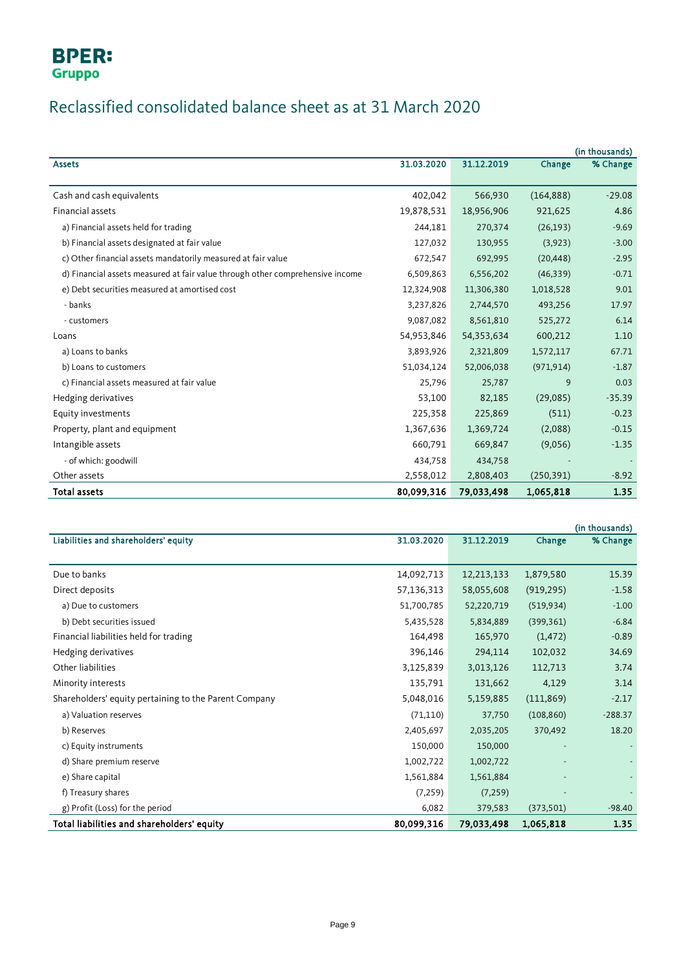# Reclassified consolidated balance sheet as at 31 March 2020

|                                                                               |            |            |            | (in thousands) |
|-------------------------------------------------------------------------------|------------|------------|------------|----------------|
| <b>Assets</b>                                                                 | 31.03.2020 | 31.12.2019 | Change     | % Change       |
|                                                                               |            |            |            |                |
| Cash and cash equivalents                                                     | 402,042    | 566,930    | (164, 888) | $-29.08$       |
| Financial assets                                                              | 19,878,531 | 18,956,906 | 921,625    | 4.86           |
| a) Financial assets held for trading                                          | 244,181    | 270,374    | (26, 193)  | $-9.69$        |
| b) Financial assets designated at fair value                                  | 127,032    | 130,955    | (3,923)    | $-3.00$        |
| c) Other financial assets mandatorily measured at fair value                  | 672,547    | 692,995    | (20, 448)  | $-2.95$        |
| d) Financial assets measured at fair value through other comprehensive income | 6,509,863  | 6,556,202  | (46, 339)  | $-0.71$        |
| e) Debt securities measured at amortised cost                                 | 12,324,908 | 11,306,380 | 1,018,528  | 9.01           |
| - banks                                                                       | 3,237,826  | 2,744,570  | 493,256    | 17.97          |
| - customers                                                                   | 9,087,082  | 8,561,810  | 525,272    | 6.14           |
| Loans                                                                         | 54,953,846 | 54,353,634 | 600,212    | 1.10           |
| a) Loans to banks                                                             | 3,893,926  | 2,321,809  | 1,572,117  | 67.71          |
| b) Loans to customers                                                         | 51,034,124 | 52,006,038 | (971, 914) | $-1.87$        |
| c) Financial assets measured at fair value                                    | 25,796     | 25,787     | 9          | 0.03           |
| Hedging derivatives                                                           | 53,100     | 82,185     | (29,085)   | $-35.39$       |
| Equity investments                                                            | 225,358    | 225,869    | (511)      | $-0.23$        |
| Property, plant and equipment                                                 | 1,367,636  | 1,369,724  | (2,088)    | $-0.15$        |
| Intangible assets                                                             | 660,791    | 669,847    | (9,056)    | $-1.35$        |
| - of which: goodwill                                                          | 434,758    | 434,758    |            |                |
| Other assets                                                                  | 2,558,012  | 2,808,403  | (250, 391) | $-8.92$        |
| <b>Total assets</b>                                                           | 80,099,316 | 79,033,498 | 1,065,818  | 1.35           |

|                                                       |            |            |            | (in thousands) |
|-------------------------------------------------------|------------|------------|------------|----------------|
| Liabilities and shareholders' equity                  | 31.03.2020 | 31.12.2019 | Change     | % Change       |
|                                                       |            |            |            |                |
| Due to banks                                          | 14,092,713 | 12,213,133 | 1,879,580  | 15.39          |
| Direct deposits                                       | 57,136,313 | 58,055,608 | (919, 295) | $-1.58$        |
| a) Due to customers                                   | 51,700,785 | 52,220,719 | (519, 934) | $-1.00$        |
| b) Debt securities issued                             | 5,435,528  | 5,834,889  | (399, 361) | $-6.84$        |
| Financial liabilities held for trading                | 164,498    | 165,970    | (1, 472)   | $-0.89$        |
| Hedging derivatives                                   | 396,146    | 294,114    | 102,032    | 34.69          |
| Other liabilities                                     | 3,125,839  | 3,013,126  | 112,713    | 3.74           |
| Minority interests                                    | 135,791    | 131,662    | 4,129      | 3.14           |
| Shareholders' equity pertaining to the Parent Company | 5,048,016  | 5,159,885  | (111, 869) | $-2.17$        |
| a) Valuation reserves                                 | (71, 110)  | 37,750     | (108, 860) | $-288.37$      |
| b) Reserves                                           | 2,405,697  | 2,035,205  | 370,492    | 18.20          |
| c) Equity instruments                                 | 150,000    | 150,000    |            |                |
| d) Share premium reserve                              | 1,002,722  | 1,002,722  |            |                |
| e) Share capital                                      | 1,561,884  | 1,561,884  |            |                |
| f) Treasury shares                                    | (7, 259)   | (7, 259)   |            |                |
| g) Profit (Loss) for the period                       | 6,082      | 379,583    | (373,501)  | $-98.40$       |
| Total liabilities and shareholders' equity            | 80,099,316 | 79,033,498 | 1,065,818  | 1.35           |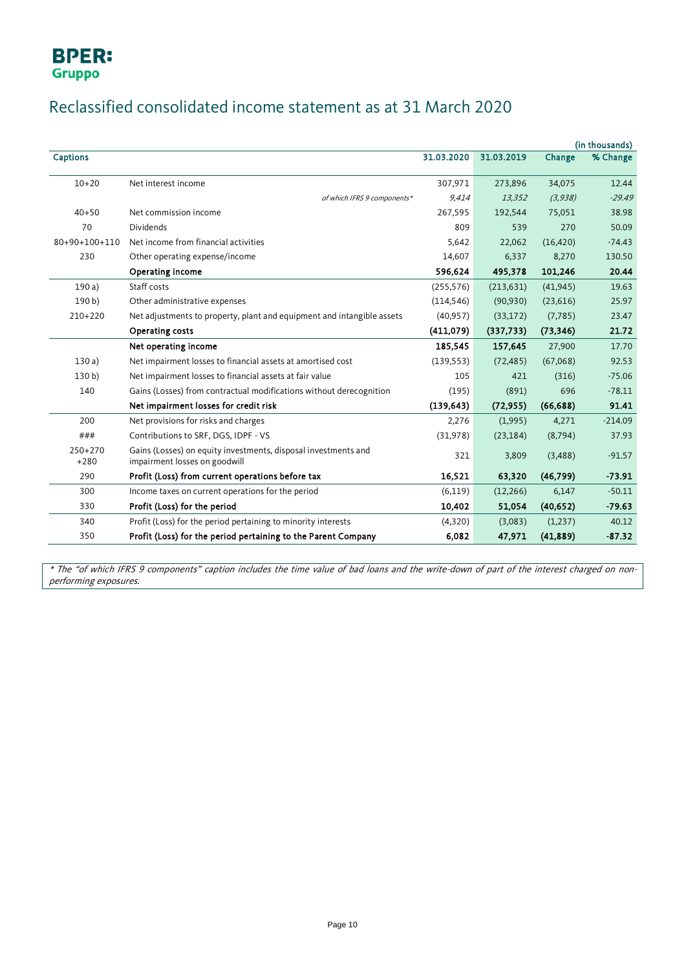## Reclassified consolidated income statement as at 31 March 2020

|                     |                                                                                                 |            |            |           | (in thousands) |
|---------------------|-------------------------------------------------------------------------------------------------|------------|------------|-----------|----------------|
| <b>Captions</b>     |                                                                                                 | 31.03.2020 | 31.03.2019 | Change    | % Change       |
| $10 + 20$           | Net interest income                                                                             | 307,971    | 273,896    | 34,075    | 12.44          |
|                     | of which IFRS 9 components*                                                                     | 9,414      | 13,352     | (3, 938)  | $-29.49$       |
| $40 + 50$           | Net commission income                                                                           | 267,595    | 192,544    | 75,051    | 38.98          |
| 70                  | <b>Dividends</b>                                                                                | 809        | 539        | 270       | 50.09          |
| 80+90+100+110       | Net income from financial activities                                                            | 5,642      | 22,062     | (16, 420) | $-74.43$       |
| 230                 | Other operating expense/income                                                                  | 14,607     | 6,337      | 8,270     | 130.50         |
|                     | Operating income                                                                                | 596,624    | 495,378    | 101,246   | 20.44          |
| 190a)               | Staff costs                                                                                     | (255, 576) | (213, 631) | (41, 945) | 19.63          |
| 190 b)              | Other administrative expenses                                                                   | (114, 546) | (90, 930)  | (23,616)  | 25.97          |
| 210+220             | Net adjustments to property, plant and equipment and intangible assets                          | (40, 957)  | (33, 172)  | (7, 785)  | 23.47          |
|                     | Operating costs                                                                                 | (411,079)  | (337, 733) | (73, 346) | 21.72          |
|                     | Net operating income                                                                            | 185,545    | 157,645    | 27,900    | 17.70          |
| 130a)               | Net impairment losses to financial assets at amortised cost                                     | (139, 553) | (72, 485)  | (67,068)  | 92.53          |
| $130b$ )            | Net impairment losses to financial assets at fair value                                         | 105        | 421        | (316)     | $-75.06$       |
| 140                 | Gains (Losses) from contractual modifications without derecognition                             | (195)      | (891)      | 696       | $-78.11$       |
|                     | Net impairment losses for credit risk                                                           | (139, 643) | (72, 955)  | (66, 688) | 91.41          |
| 200                 | Net provisions for risks and charges                                                            | 2,276      | (1,995)    | 4,271     | $-214.09$      |
| ###                 | Contributions to SRF, DGS, IDPF - VS                                                            | (31,978)   | (23, 184)  | (8,794)   | 37.93          |
| $250+270$<br>$+280$ | Gains (Losses) on equity investments, disposal investments and<br>impairment losses on goodwill | 321        | 3,809      | (3,488)   | $-91.57$       |
| 290                 | Profit (Loss) from current operations before tax                                                | 16,521     | 63,320     | (46, 799) | $-73.91$       |
| 300                 | Income taxes on current operations for the period                                               | (6, 119)   | (12, 266)  | 6,147     | $-50.11$       |
| 330                 | Profit (Loss) for the period                                                                    | 10,402     | 51,054     | (40, 652) | $-79.63$       |
| 340                 | Profit (Loss) for the period pertaining to minority interests                                   | (4,320)    | (3,083)    | (1,237)   | 40.12          |
| 350                 | Profit (Loss) for the period pertaining to the Parent Company                                   | 6,082      | 47,971     | (41, 889) | $-87.32$       |

\* The "of which IFRS 9 components" caption includes the time value of bad loans and the write-down of part of the interest charged on nonperforming exposures.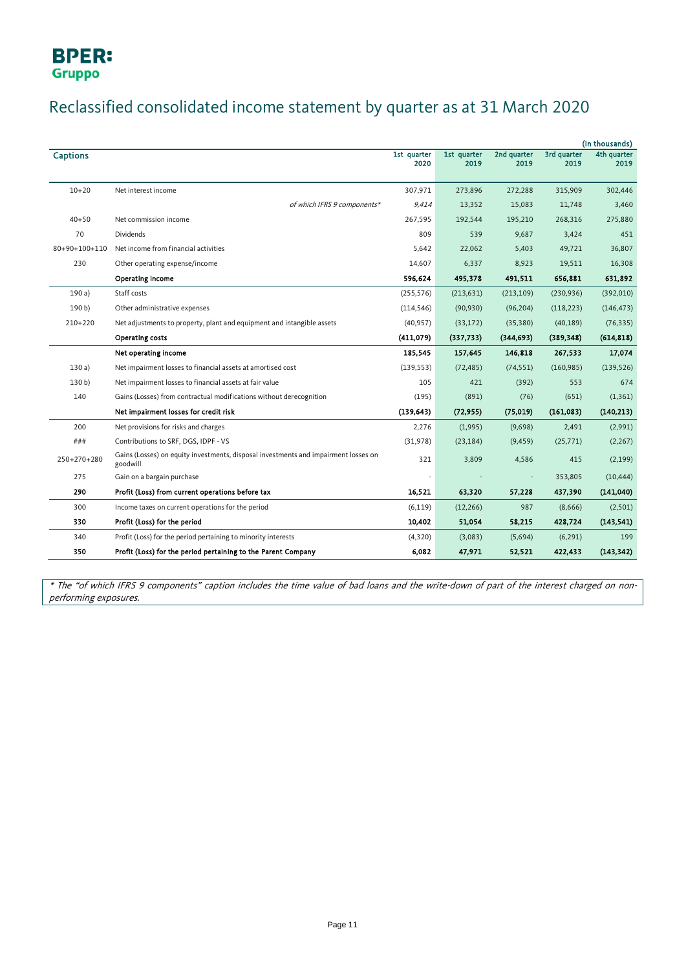

# Reclassified consolidated income statement by quarter as at 31 March 2020

|                  |                                                                                                 |                     |                     |                     |                     | (in thousands)      |
|------------------|-------------------------------------------------------------------------------------------------|---------------------|---------------------|---------------------|---------------------|---------------------|
| <b>Captions</b>  |                                                                                                 | 1st quarter<br>2020 | 1st quarter<br>2019 | 2nd quarter<br>2019 | 3rd quarter<br>2019 | 4th quarter<br>2019 |
|                  |                                                                                                 |                     |                     |                     |                     |                     |
| $10 + 20$        | Net interest income                                                                             | 307,971             | 273,896             | 272,288             | 315,909             | 302,446             |
|                  | of which IFRS 9 components*                                                                     | 9,414               | 13,352              | 15,083              | 11,748              | 3,460               |
| $40 + 50$        | Net commission income                                                                           | 267,595             | 192,544             | 195,210             | 268,316             | 275,880             |
| 70               | <b>Dividends</b>                                                                                | 809                 | 539                 | 9,687               | 3,424               | 451                 |
| 80+90+100+110    | Net income from financial activities                                                            | 5,642               | 22,062              | 5,403               | 49,721              | 36,807              |
| 230              | Other operating expense/income                                                                  | 14,607              | 6,337               | 8,923               | 19,511              | 16,308              |
|                  | Operating income                                                                                | 596,624             | 495,378             | 491,511             | 656,881             | 631,892             |
| 190a)            | Staff costs                                                                                     | (255, 576)          | (213, 631)          | (213, 109)          | (230, 936)          | (392,010)           |
| 190 b            | Other administrative expenses                                                                   | (114, 546)          | (90, 930)           | (96, 204)           | (118, 223)          | (146, 473)          |
| 210+220          | Net adjustments to property, plant and equipment and intangible assets                          | (40, 957)           | (33, 172)           | (35, 380)           | (40, 189)           | (76, 335)           |
|                  | Operating costs                                                                                 | (411,079)           | (337, 733)          | (344, 693)          | (389, 348)          | (614, 818)          |
|                  | Net operating income                                                                            | 185,545             | 157,645             | 146,818             | 267,533             | 17,074              |
| 130a             | Net impairment losses to financial assets at amortised cost                                     | (139, 553)          | (72, 485)           | (74, 551)           | (160, 985)          | (139, 526)          |
| 130 <sub>b</sub> | Net impairment losses to financial assets at fair value                                         | 105                 | 421                 | (392)               | 553                 | 674                 |
| 140              | Gains (Losses) from contractual modifications without derecognition                             | (195)               | (891)               | (76)                | (651)               | (1, 361)            |
|                  | Net impairment losses for credit risk                                                           | (139, 643)          | (72, 955)           | (75, 019)           | (161,083)           | (140, 213)          |
| 200              | Net provisions for risks and charges                                                            | 2,276               | (1,995)             | (9,698)             | 2,491               | (2,991)             |
| ###              | Contributions to SRF, DGS, IDPF - VS                                                            | (31,978)            | (23, 184)           | (9, 459)            | (25, 771)           | (2, 267)            |
| 250+270+280      | Gains (Losses) on equity investments, disposal investments and impairment losses on<br>goodwill | 321                 | 3,809               | 4,586               | 415                 | (2, 199)            |
| 275              | Gain on a bargain purchase                                                                      |                     |                     |                     | 353,805             | (10, 444)           |
| 290              | Profit (Loss) from current operations before tax                                                | 16,521              | 63,320              | 57,228              | 437,390             | (141,040)           |
| 300              | Income taxes on current operations for the period                                               | (6, 119)            | (12, 266)           | 987                 | (8,666)             | (2,501)             |
| 330              | Profit (Loss) for the period                                                                    | 10,402              | 51,054              | 58,215              | 428,724             | (143,541)           |
| 340              | Profit (Loss) for the period pertaining to minority interests                                   | (4,320)             | (3,083)             | (5,694)             | (6, 291)            | 199                 |
| 350              | Profit (Loss) for the period pertaining to the Parent Company                                   | 6.082               | 47,971              | 52,521              | 422,433             | (143, 342)          |

\* The "of which IFRS 9 components" caption includes the time value of bad loans and the write-down of part of the interest charged on nonperforming exposures.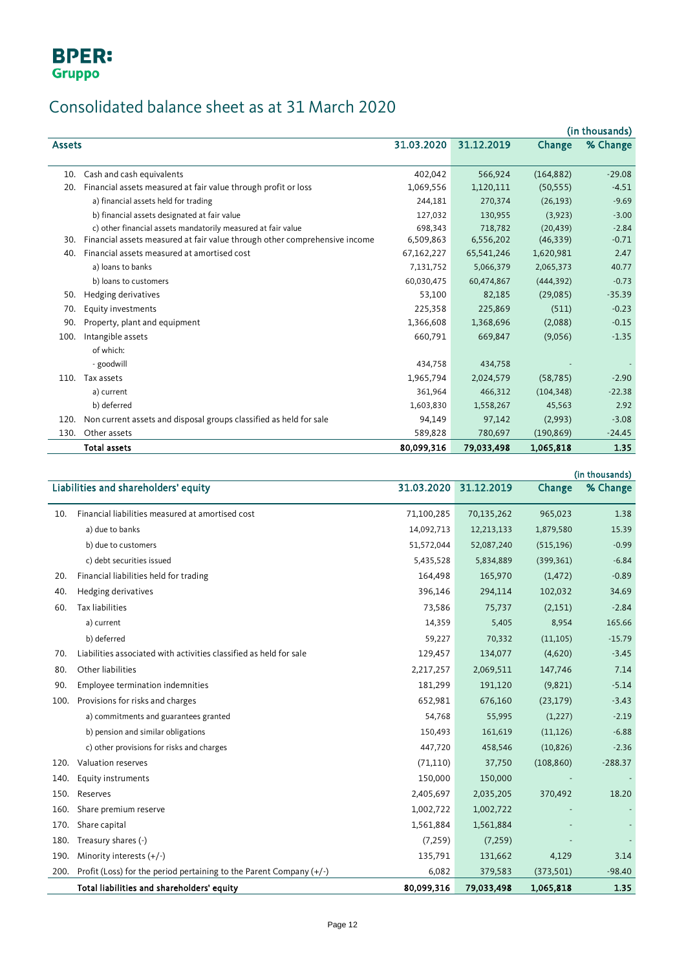# Consolidated balance sheet as at 31 March 2020

|               |                                                                            |            |            |            | (in thousands) |
|---------------|----------------------------------------------------------------------------|------------|------------|------------|----------------|
| <b>Assets</b> |                                                                            | 31.03.2020 | 31.12.2019 | Change     | % Change       |
|               |                                                                            |            |            |            |                |
| 10.           | Cash and cash equivalents                                                  | 402,042    | 566,924    | (164, 882) | $-29.08$       |
| 20.           | Financial assets measured at fair value through profit or loss             | 1,069,556  | 1,120,111  | (50, 555)  | $-4.51$        |
|               | a) financial assets held for trading                                       | 244,181    | 270,374    | (26, 193)  | $-9.69$        |
|               | b) financial assets designated at fair value                               | 127,032    | 130,955    | (3,923)    | $-3.00$        |
|               | c) other financial assets mandatorily measured at fair value               | 698,343    | 718,782    | (20, 439)  | $-2.84$        |
| 30.           | Financial assets measured at fair value through other comprehensive income | 6,509,863  | 6,556,202  | (46, 339)  | $-0.71$        |
| 40.           | Financial assets measured at amortised cost                                | 67,162,227 | 65,541,246 | 1,620,981  | 2.47           |
|               | a) loans to banks                                                          | 7,131,752  | 5,066,379  | 2,065,373  | 40.77          |
|               | b) loans to customers                                                      | 60,030,475 | 60,474,867 | (444, 392) | $-0.73$        |
| 50.           | Hedging derivatives                                                        | 53,100     | 82,185     | (29,085)   | $-35.39$       |
| 70.           | Equity investments                                                         | 225,358    | 225,869    | (511)      | $-0.23$        |
| 90.           | Property, plant and equipment                                              | 1,366,608  | 1,368,696  | (2,088)    | $-0.15$        |
| 100.          | Intangible assets                                                          | 660,791    | 669,847    | (9,056)    | $-1.35$        |
|               | of which:                                                                  |            |            |            |                |
|               | - goodwill                                                                 | 434,758    | 434,758    |            |                |
| 110.          | Tax assets                                                                 | 1,965,794  | 2,024,579  | (58, 785)  | $-2.90$        |
|               | a) current                                                                 | 361,964    | 466,312    | (104, 348) | $-22.38$       |
|               | b) deferred                                                                | 1,603,830  | 1,558,267  | 45,563     | 2.92           |
| 120.          | Non current assets and disposal groups classified as held for sale         | 94,149     | 97,142     | (2,993)    | $-3.08$        |
| 130.          | Other assets                                                               | 589,828    | 780,697    | (190, 869) | $-24.45$       |
|               | <b>Total assets</b>                                                        | 80,099,316 | 79,033,498 | 1,065,818  | 1.35           |

|      |                                                                       |            |            |            | (in thousands) |
|------|-----------------------------------------------------------------------|------------|------------|------------|----------------|
|      | Liabilities and shareholders' equity                                  | 31.03.2020 | 31.12.2019 | Change     | % Change       |
| 10.  | Financial liabilities measured at amortised cost                      | 71,100,285 | 70,135,262 | 965,023    | 1.38           |
|      | a) due to banks                                                       | 14,092,713 | 12,213,133 | 1,879,580  | 15.39          |
|      | b) due to customers                                                   | 51,572,044 | 52,087,240 | (515, 196) | $-0.99$        |
|      | c) debt securities issued                                             | 5,435,528  | 5,834,889  | (399, 361) | $-6.84$        |
| 20.  | Financial liabilities held for trading                                | 164,498    | 165,970    | (1, 472)   | $-0.89$        |
| 40.  | Hedging derivatives                                                   | 396,146    | 294,114    | 102,032    | 34.69          |
| 60.  | <b>Tax liabilities</b>                                                | 73,586     | 75,737     | (2, 151)   | $-2.84$        |
|      | a) current                                                            | 14,359     | 5,405      | 8,954      | 165.66         |
|      | b) deferred                                                           | 59,227     | 70,332     | (11, 105)  | $-15.79$       |
| 70.  | Liabilities associated with activities classified as held for sale    | 129,457    | 134,077    | (4,620)    | $-3.45$        |
| 80.  | Other liabilities                                                     | 2,217,257  | 2,069,511  | 147,746    | 7.14           |
| 90.  | Employee termination indemnities                                      | 181,299    | 191,120    | (9,821)    | $-5.14$        |
| 100. | Provisions for risks and charges                                      | 652,981    | 676,160    | (23, 179)  | $-3.43$        |
|      | a) commitments and guarantees granted                                 | 54,768     | 55,995     | (1, 227)   | $-2.19$        |
|      | b) pension and similar obligations                                    | 150,493    | 161,619    | (11, 126)  | $-6.88$        |
|      | c) other provisions for risks and charges                             | 447,720    | 458,546    | (10, 826)  | $-2.36$        |
| 120. | Valuation reserves                                                    | (71, 110)  | 37,750     | (108, 860) | $-288.37$      |
| 140. | Equity instruments                                                    | 150,000    | 150,000    |            |                |
| 150. | Reserves                                                              | 2,405,697  | 2,035,205  | 370,492    | 18.20          |
| 160. | Share premium reserve                                                 | 1,002,722  | 1,002,722  |            |                |
| 170. | Share capital                                                         | 1,561,884  | 1,561,884  |            |                |
| 180. | Treasury shares (-)                                                   | (7, 259)   | (7, 259)   |            |                |
| 190. | Minority interests $(+/-)$                                            | 135,791    | 131,662    | 4,129      | 3.14           |
| 200. | Profit (Loss) for the period pertaining to the Parent Company $(+/-)$ | 6,082      | 379,583    | (373,501)  | $-98.40$       |
|      | Total liabilities and shareholders' equity                            | 80,099,316 | 79,033,498 | 1,065,818  | 1.35           |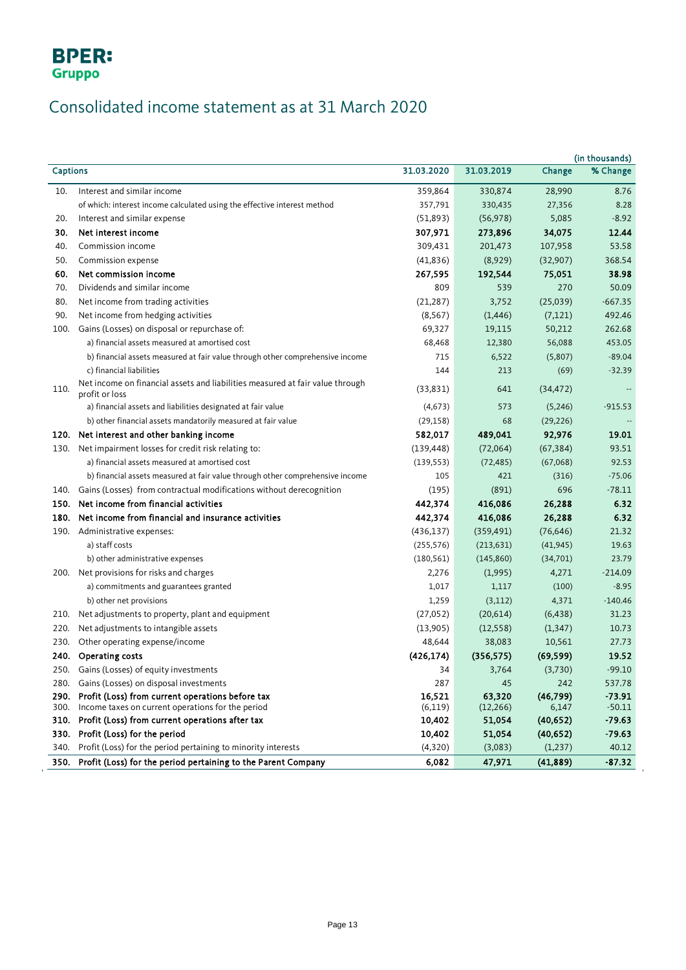

# Consolidated income statement as at 31 March 2020

|                 |                                                                                                 |                   |            |                      | (in thousands)    |
|-----------------|-------------------------------------------------------------------------------------------------|-------------------|------------|----------------------|-------------------|
| <b>Captions</b> |                                                                                                 | 31.03.2020        | 31.03.2019 | Change               | % Change          |
| 10.             | Interest and similar income                                                                     | 359,864           | 330,874    | 28,990               | 8.76              |
|                 | of which: interest income calculated using the effective interest method                        | 357,791           | 330,435    | 27,356               | 8.28              |
| 20.             | Interest and similar expense                                                                    | (51,893)          | (56, 978)  | 5,085                | $-8.92$           |
| 30.             | Net interest income                                                                             | 307,971           | 273,896    | 34,075               | 12.44             |
| 40.             | Commission income                                                                               | 309,431           | 201,473    | 107,958              | 53.58             |
| 50.             | Commission expense                                                                              | (41,836)          | (8,929)    | (32,907)             | 368.54            |
| 60.             | Net commission income                                                                           | 267,595           | 192,544    | 75,051               | 38.98             |
| 70.             | Dividends and similar income                                                                    | 809               | 539        | 270                  | 50.09             |
| 80.             | Net income from trading activities                                                              | (21, 287)         | 3,752      | (25,039)             | $-667.35$         |
| 90.             | Net income from hedging activities                                                              | (8, 567)          | (1, 446)   | (7, 121)             | 492.46            |
| 100.            | Gains (Losses) on disposal or repurchase of:                                                    | 69,327            | 19,115     | 50,212               | 262.68            |
|                 | a) financial assets measured at amortised cost                                                  | 68,468            | 12,380     | 56,088               | 453.05            |
|                 | b) financial assets measured at fair value through other comprehensive income                   | 715               | 6,522      | (5,807)              | $-89.04$          |
|                 | c) financial liabilities                                                                        | 144               | 213        | (69)                 | $-32.39$          |
| 110.            | Net income on financial assets and liabilities measured at fair value through<br>profit or loss | (33,831)          | 641        | (34, 472)            |                   |
|                 | a) financial assets and liabilities designated at fair value                                    | (4,673)           | 573        | (5, 246)             | $-915.53$         |
|                 | b) other financial assets mandatorily measured at fair value                                    | (29, 158)         | 68         | (29, 226)            |                   |
| 120.            | Net interest and other banking income                                                           | 582,017           | 489,041    | 92,976               | 19.01             |
| 130.            | Net impairment losses for credit risk relating to:                                              | (139, 448)        | (72,064)   | (67, 384)            | 93.51             |
|                 | a) financial assets measured at amortised cost                                                  | (139, 553)        | (72, 485)  | (67,068)             | 92.53             |
|                 | b) financial assets measured at fair value through other comprehensive income                   | 105               | 421        | (316)                | $-75.06$          |
| 140.            | Gains (Losses) from contractual modifications without derecognition                             | (195)             | (891)      | 696                  | $-78.11$          |
| 150.            | Net income from financial activities                                                            | 442,374           | 416,086    | 26,288               | 6.32              |
| 180.            | Net income from financial and insurance activities                                              | 442,374           | 416,086    | 26,288               | 6.32              |
| 190.            | Administrative expenses:                                                                        | (436, 137)        | (359, 491) | (76, 646)            | 21.32             |
|                 | a) staff costs                                                                                  | (255, 576)        | (213, 631) | (41, 945)            | 19.63             |
|                 | b) other administrative expenses                                                                | (180, 561)        | (145, 860) | (34,701)             | 23.79             |
|                 | 200. Net provisions for risks and charges                                                       | 2,276             | (1,995)    | 4,271                | $-214.09$         |
|                 | a) commitments and guarantees granted                                                           | 1,017             | 1,117      | (100)                | $-8.95$           |
|                 | b) other net provisions                                                                         | 1,259             | (3, 112)   | 4,371                | $-140.46$         |
| 210.            | Net adjustments to property, plant and equipment                                                | (27,052)          | (20,614)   | (6, 438)             | 31.23             |
| 220.            | Net adjustments to intangible assets                                                            | (13,905)          | (12, 558)  | (1, 347)             | 10.73             |
| 230.            | Other operating expense/income                                                                  | 48,644            | 38,083     | 10,561               | 27.73             |
|                 | 240. Operating costs                                                                            | (426, 174)        | (356, 575) | (69, 599)            | 19.52             |
| 250.            | Gains (Losses) of equity investments                                                            | 34                | 3,764      | (3,730)              | $-99.10$          |
| 280.            | Gains (Losses) on disposal investments                                                          | 287               | 45         | 242                  | 537.78            |
| 290.            | Profit (Loss) from current operations before tax                                                | 16,521            | 63,320     | (46,799)             | $-73.91$          |
| 300.            | Income taxes on current operations for the period                                               | (6, 119)          | (12, 266)  | 6,147                | $-50.11$          |
| 310.<br>330.    | Profit (Loss) from current operations after tax                                                 | 10,402            | 51,054     | (40, 652)            | $-79.63$          |
| 340.            | Profit (Loss) for the period<br>Profit (Loss) for the period pertaining to minority interests   | 10,402<br>(4,320) | 51,054     | (40, 652)<br>(1,237) | $-79.63$<br>40.12 |
| 350.            | Profit (Loss) for the period pertaining to the Parent Company                                   |                   | (3,083)    |                      | $-87.32$          |
|                 |                                                                                                 | 6,082             | 47,971     | (41, 889)            |                   |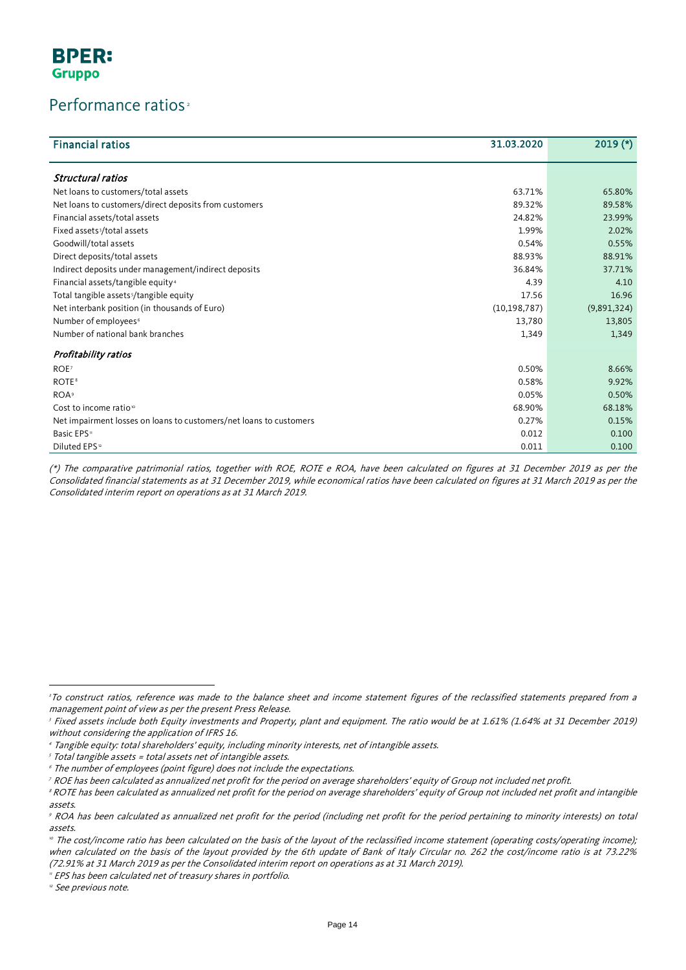### Performance ratios<sup>[2](#page-7-1)</sup>

| <b>Financial ratios</b>                                            | 31.03.2020     | $2019$ (*)  |
|--------------------------------------------------------------------|----------------|-------------|
| Structural ratios                                                  |                |             |
| Net loans to customers/total assets                                | 63.71%         | 65.80%      |
| Net loans to customers/direct deposits from customers              | 89.32%         | 89.58%      |
| Financial assets/total assets                                      | 24.82%         | 23.99%      |
| Fixed assets <sup>3</sup> /total assets                            | 1.99%          | 2.02%       |
| Goodwill/total assets                                              | 0.54%          | 0.55%       |
| Direct deposits/total assets                                       | 88.93%         | 88.91%      |
| Indirect deposits under management/indirect deposits               | 36.84%         | 37.71%      |
| Financial assets/tangible equity <sup>4</sup>                      | 4.39           | 4.10        |
| Total tangible assets <sup>5</sup> /tangible equity                | 17.56          | 16.96       |
| Net interbank position (in thousands of Euro)                      | (10, 198, 787) | (9,891,324) |
| Number of employees <sup>6</sup>                                   | 13,780         | 13,805      |
| Number of national bank branches                                   | 1,349          | 1,349       |
| Profitability ratios                                               |                |             |
| ROE <sup>7</sup>                                                   | 0.50%          | 8.66%       |
| <b>ROTE</b> <sup>8</sup>                                           | 0.58%          | 9.92%       |
| <b>ROA</b> <sup>9</sup>                                            | 0.05%          | 0.50%       |
| Cost to income ratio <sup>10</sup>                                 | 68.90%         | 68.18%      |
| Net impairment losses on loans to customers/net loans to customers | 0.27%          | 0.15%       |
| Basic EPS <sup>"</sup>                                             | 0.012          | 0.100       |
| Diluted EPS <sup>12</sup>                                          | 0.011          | 0.100       |

(\*) The comparative patrimonial ratios, together with ROE, ROTE e ROA, have been calculated on figures at 31 December 2019 as per the Consolidated financial statements as at 31 December 2019, while economical ratios have been calculated on figures at 31 March 2019 as per the Consolidated interim report on operations as at 31 March 2019.

 $\overline{\phantom{a}}$ 

<sup>2</sup> To construct ratios, reference was made to the balance sheet and income statement figures of the reclassified statements prepared from a management point of view as per the present Press Release.

<span id="page-13-0"></span><sup>&</sup>lt;sup>3</sup> Fixed assets include both Equity investments and Property, plant and equipment. The ratio would be at 1.61% (1.64% at 31 December 2019) without considering the application of IFRS 16.

<span id="page-13-1"></span><sup>4</sup> Tangible equity: total shareholders' equity, including minority interests, net of intangible assets.

<span id="page-13-2"></span><sup>5</sup> Total tangible assets = total assets net of intangible assets.

<span id="page-13-3"></span><sup>&</sup>lt;sup>6</sup> The number of employees (point figure) does not include the expectations.

<span id="page-13-4"></span><sup>&</sup>lt;sup>7</sup> ROE has been calculated as annualized net profit for the period on average shareholders' equity of Group not included net profit.

<span id="page-13-5"></span><sup>&</sup>lt;sup>8</sup> ROTE has been calculated as annualized net profit for the period on average shareholders' equity of Group not included net profit and intangible assets.

<span id="page-13-6"></span><sup>9</sup> ROA has been calculated as annualized net profit for the period (including net profit for the period pertaining to minority interests) on total assets.

<span id="page-13-7"></span><sup>&</sup>lt;sup>®</sup> The cost/income ratio has been calculated on the basis of the layout of the reclassified income statement (operating costs/operating income); when calculated on the basis of the layout provided by the 6th update of Bank of Italy Circular no. 262 the cost/income ratio is at 73.22% (72.91% at 31 March 2019 as per the Consolidated interim report on operations as at 31 March 2019).

<span id="page-13-8"></span><sup>&</sup>lt;sup>"</sup> EPS has been calculated net of treasury shares in portfolio.

<span id="page-13-9"></span><sup>&</sup>lt;sup>12</sup> See previous note.